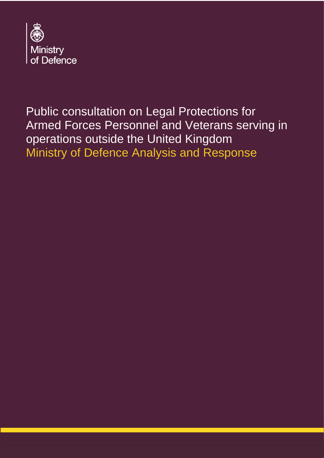

Public consultation on Legal Protections for Armed Forces Personnel and Veterans serving in operations outside the United Kingdom Ministry of Defence Analysis and Response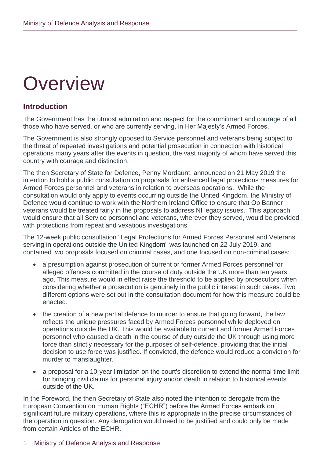# **Overview**

# **Introduction**

The Government has the utmost admiration and respect for the commitment and courage of all those who have served, or who are currently serving, in Her Majesty's Armed Forces.

The Government is also strongly opposed to Service personnel and veterans being subject to the threat of repeated investigations and potential prosecution in connection with historical operations many years after the events in question, the vast majority of whom have served this country with courage and distinction.

The then Secretary of State for Defence, Penny Mordaunt, announced on 21 May 2019 the intention to hold a public consultation on proposals for enhanced legal protections measures for Armed Forces personnel and veterans in relation to overseas operations. While the consultation would only apply to events occurring outside the United Kingdom, the Ministry of Defence would continue to work with the Northern Ireland Office to ensure that Op Banner veterans would be treated fairly in the proposals to address NI legacy issues. This approach would ensure that all Service personnel and veterans, wherever they served, would be provided with protections from repeat and vexatious investigations.

The 12-week public consultation "Legal Protections for Armed Forces Personnel and Veterans serving in operations outside the United Kingdom" was launched on 22 July 2019, and contained two proposals focused on criminal cases, and one focused on non-criminal cases:

- a presumption against prosecution of current or former Armed Forces personnel for alleged offences committed in the course of duty outside the UK more than ten years ago. This measure would in effect raise the threshold to be applied by prosecutors when considering whether a prosecution is genuinely in the public interest in such cases. Two different options were set out in the consultation document for how this measure could be enacted.
- the creation of a new partial defence to murder to ensure that going forward, the law reflects the unique pressures faced by Armed Forces personnel while deployed on operations outside the UK. This would be available to current and former Armed Forces personnel who caused a death in the course of duty outside the UK through using more force than strictly necessary for the purposes of self-defence, providing that the initial decision to use force was justified. If convicted, the defence would reduce a conviction for murder to manslaughter.
- a proposal for a 10-year limitation on the court's discretion to extend the normal time limit for bringing civil claims for personal injury and/or death in relation to historical events outside of the UK.

In the Foreword, the then Secretary of State also noted the intention to derogate from the European Convention on Human Rights ("ECHR") before the Armed Forces embark on significant future military operations, where this is appropriate in the precise circumstances of the operation in question. Any derogation would need to be justified and could only be made from certain Articles of the ECHR.

## 1 Ministry of Defence Analysis and Response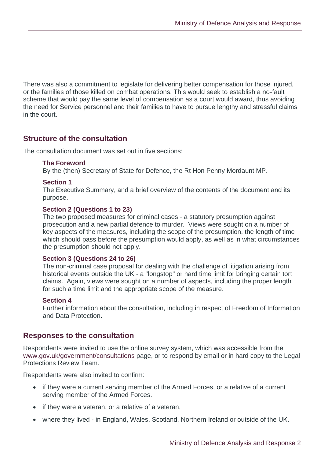There was also a commitment to legislate for delivering better compensation for those injured, or the families of those killed on combat operations. This would seek to establish a no-fault scheme that would pay the same level of compensation as a court would award, thus avoiding the need for Service personnel and their families to have to pursue lengthy and stressful claims in the court.

# **Structure of the consultation**

The consultation document was set out in five sections:

#### **The Foreword**

By the (then) Secretary of State for Defence, the Rt Hon Penny Mordaunt MP.

#### **Section 1**

The Executive Summary, and a brief overview of the contents of the document and its purpose.

#### **Section 2 (Questions 1 to 23)**

The two proposed measures for criminal cases - a statutory presumption against prosecution and a new partial defence to murder. Views were sought on a number of key aspects of the measures, including the scope of the presumption, the length of time which should pass before the presumption would apply, as well as in what circumstances the presumption should not apply.

#### **Section 3 (Questions 24 to 26)**

The non-criminal case proposal for dealing with the challenge of litigation arising from historical events outside the UK - a "longstop" or hard time limit for bringing certain tort claims. Again, views were sought on a number of aspects, including the proper length for such a time limit and the appropriate scope of the measure.

#### **Section 4**

Further information about the consultation, including in respect of Freedom of Information and Data Protection.

## **Responses to the consultation**

Respondents were invited to use the online survey system, which was accessible from the [www.gov.uk/government/consultations](http://www.gov.uk/government/consultations) page, or to respond by email or in hard copy to the Legal Protections Review Team.

Respondents were also invited to confirm:

- if they were a current serving member of the Armed Forces, or a relative of a current serving member of the Armed Forces.
- if they were a veteran, or a relative of a veteran.
- where they lived in England, Wales, Scotland, Northern Ireland or outside of the UK.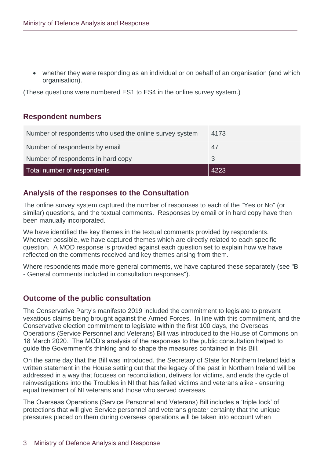• whether they were responding as an individual or on behalf of an organisation (and which organisation).

(These questions were numbered ES1 to ES4 in the online survey system.)

# **Respondent numbers**

| Number of respondents who used the online survey system | 4173 |
|---------------------------------------------------------|------|
| Number of respondents by email                          | 47   |
| Number of respondents in hard copy                      |      |
| Total number of respondents                             | 4223 |

# **Analysis of the responses to the Consultation**

The online survey system captured the number of responses to each of the "Yes or No" (or similar) questions, and the textual comments. Responses by email or in hard copy have then been manually incorporated.

We have identified the key themes in the textual comments provided by respondents. Wherever possible, we have captured themes which are directly related to each specific question. A MOD response is provided against each question set to explain how we have reflected on the comments received and key themes arising from them.

Where respondents made more general comments, we have captured these separately (see "B - General comments included in consultation responses").

# **Outcome of the public consultation**

The Conservative Party's manifesto 2019 included the commitment to legislate to prevent vexatious claims being brought against the Armed Forces. In line with this commitment, and the Conservative election commitment to legislate within the first 100 days, the Overseas Operations (Service Personnel and Veterans) Bill was introduced to the House of Commons on 18 March 2020. The MOD's analysis of the responses to the public consultation helped to guide the Government's thinking and to shape the measures contained in this Bill.

On the same day that the Bill was introduced, the Secretary of State for Northern Ireland laid a written statement in the House setting out that the legacy of the past in Northern Ireland will be addressed in a way that focuses on reconciliation, delivers for victims, and ends the cycle of reinvestigations into the Troubles in NI that has failed victims and veterans alike - ensuring equal treatment of NI veterans and those who served overseas.

The Overseas Operations (Service Personnel and Veterans) Bill includes a 'triple lock' of protections that will give Service personnel and veterans greater certainty that the unique pressures placed on them during overseas operations will be taken into account when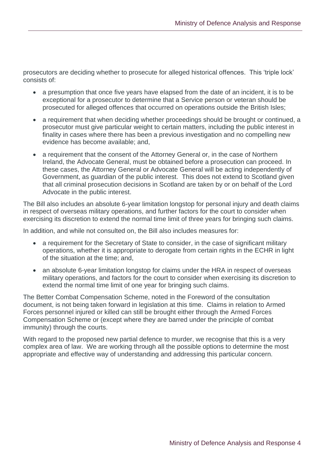prosecutors are deciding whether to prosecute for alleged historical offences. This 'triple lock' consists of:

- a presumption that once five years have elapsed from the date of an incident, it is to be exceptional for a prosecutor to determine that a Service person or veteran should be prosecuted for alleged offences that occurred on operations outside the British Isles;
- a requirement that when deciding whether proceedings should be brought or continued, a prosecutor must give particular weight to certain matters, including the public interest in finality in cases where there has been a previous investigation and no compelling new evidence has become available; and,
- a requirement that the consent of the Attorney General or, in the case of Northern Ireland, the Advocate General, must be obtained before a prosecution can proceed. In these cases, the Attorney General or Advocate General will be acting independently of Government, as guardian of the public interest. This does not extend to Scotland given that all criminal prosecution decisions in Scotland are taken by or on behalf of the Lord Advocate in the public interest.

The Bill also includes an absolute 6-year limitation longstop for personal injury and death claims in respect of overseas military operations, and further factors for the court to consider when exercising its discretion to extend the normal time limit of three years for bringing such claims.

In addition, and while not consulted on, the Bill also includes measures for:

- a requirement for the Secretary of State to consider, in the case of significant military operations, whether it is appropriate to derogate from certain rights in the ECHR in light of the situation at the time; and,
- an absolute 6-year limitation longstop for claims under the HRA in respect of overseas military operations, and factors for the court to consider when exercising its discretion to extend the normal time limit of one year for bringing such claims.

The Better Combat Compensation Scheme, noted in the Foreword of the consultation document, is not being taken forward in legislation at this time. Claims in relation to Armed Forces personnel injured or killed can still be brought either through the Armed Forces Compensation Scheme or (except where they are barred under the principle of combat immunity) through the courts.

With regard to the proposed new partial defence to murder, we recognise that this is a very complex area of law. We are working through all the possible options to determine the most appropriate and effective way of understanding and addressing this particular concern.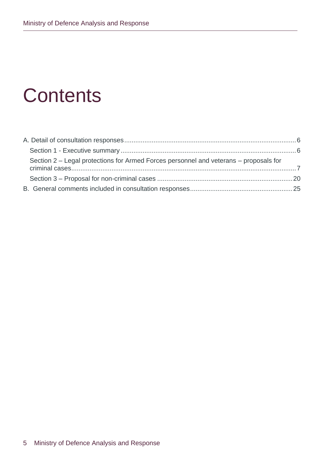# **Contents**

| Section 2 – Legal protections for Armed Forces personnel and veterans – proposals for |  |
|---------------------------------------------------------------------------------------|--|
|                                                                                       |  |
|                                                                                       |  |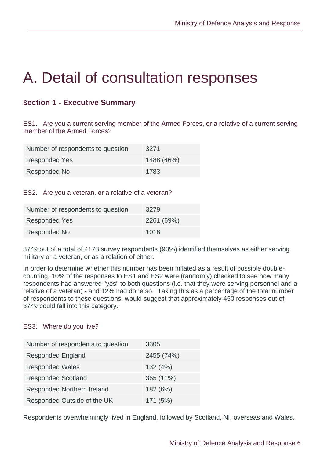# <span id="page-6-0"></span>A. Detail of consultation responses

# <span id="page-6-1"></span>**Section 1 - Executive Summary**

ES1. Are you a current serving member of the Armed Forces, or a relative of a current serving member of the Armed Forces?

| Number of respondents to question | 3271       |
|-----------------------------------|------------|
| <b>Responded Yes</b>              | 1488 (46%) |
| Responded No                      | 1783       |

#### ES2. Are you a veteran, or a relative of a veteran?

| Number of respondents to question | 3279       |
|-----------------------------------|------------|
| <b>Responded Yes</b>              | 2261 (69%) |
| Responded No                      | 1018       |

3749 out of a total of 4173 survey respondents (90%) identified themselves as either serving military or a veteran, or as a relation of either.

In order to determine whether this number has been inflated as a result of possible doublecounting, 10% of the responses to ES1 and ES2 were (randomly) checked to see how many respondents had answered "yes" to both questions (i.e. that they were serving personnel and a relative of a veteran) - and 12% had done so. Taking this as a percentage of the total number of respondents to these questions, would suggest that approximately 450 responses out of 3749 could fall into this category.

#### ES3. Where do you live?

| Number of respondents to question | 3305       |
|-----------------------------------|------------|
| <b>Responded England</b>          | 2455 (74%) |
| <b>Responded Wales</b>            | 132 (4%)   |
| <b>Responded Scotland</b>         | 365 (11%)  |
| <b>Responded Northern Ireland</b> | 182 (6%)   |
| Responded Outside of the UK       | 171(5%)    |

Respondents overwhelmingly lived in England, followed by Scotland, NI, overseas and Wales.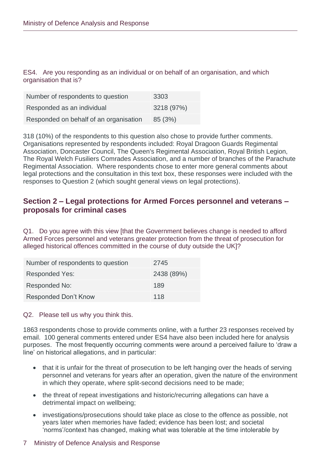ES4. Are you responding as an individual or on behalf of an organisation, and which organisation that is?

| Number of respondents to question      | 3303       |
|----------------------------------------|------------|
| Responded as an individual             | 3218 (97%) |
| Responded on behalf of an organisation | 85 (3%)    |

318 (10%) of the respondents to this question also chose to provide further comments. Organisations represented by respondents included: Royal Dragoon Guards Regimental Association, Doncaster Council, The Queen's Regimental Association, Royal British Legion, The Royal Welch Fusiliers Comrades Association, and a number of branches of the Parachute Regimental Association. Where respondents chose to enter more general comments about legal protections and the consultation in this text box, these responses were included with the responses to Question 2 (which sought general views on legal protections).

# <span id="page-7-0"></span>**Section 2 – Legal protections for Armed Forces personnel and veterans – proposals for criminal cases**

Q1. Do you agree with this view [that the Government believes change is needed to afford Armed Forces personnel and veterans greater protection from the threat of prosecution for alleged historical offences committed in the course of duty outside the UK]?

| Number of respondents to question | 2745       |
|-----------------------------------|------------|
| <b>Responded Yes:</b>             | 2438 (89%) |
| Responded No:                     | 189        |
| <b>Responded Don't Know</b>       | 118        |

#### Q2. Please tell us why you think this.

1863 respondents chose to provide comments online, with a further 23 responses received by email. 100 general comments entered under ES4 have also been included here for analysis purposes. The most frequently occurring comments were around a perceived failure to 'draw a line' on historical allegations, and in particular:

- that it is unfair for the threat of prosecution to be left hanging over the heads of serving personnel and veterans for years after an operation, given the nature of the environment in which they operate, where split-second decisions need to be made;
- the threat of repeat investigations and historic/recurring allegations can have a detrimental impact on wellbeing;
- investigations/prosecutions should take place as close to the offence as possible, not years later when memories have faded; evidence has been lost; and societal 'norms'/context has changed, making what was tolerable at the time intolerable by

## 7 Ministry of Defence Analysis and Response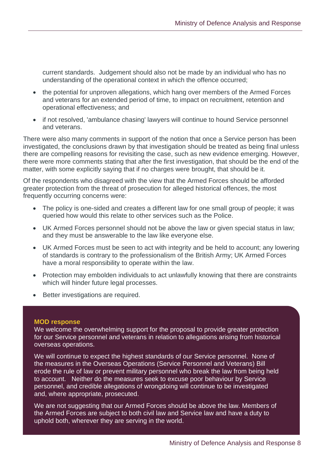current standards. Judgement should also not be made by an individual who has no understanding of the operational context in which the offence occurred;

- the potential for unproven allegations, which hang over members of the Armed Forces and veterans for an extended period of time, to impact on recruitment, retention and operational effectiveness; and
- if not resolved, 'ambulance chasing' lawyers will continue to hound Service personnel and veterans.

There were also many comments in support of the notion that once a Service person has been investigated, the conclusions drawn by that investigation should be treated as being final unless there are compelling reasons for revisiting the case, such as new evidence emerging. However, there were more comments stating that after the first investigation, that should be the end of the matter, with some explicitly saying that if no charges were brought, that should be it.

Of the respondents who disagreed with the view that the Armed Forces should be afforded greater protection from the threat of prosecution for alleged historical offences, the most frequently occurring concerns were:

- The policy is one-sided and creates a different law for one small group of people; it was queried how would this relate to other services such as the Police.
- UK Armed Forces personnel should not be above the law or given special status in law; and they must be answerable to the law like everyone else.
- UK Armed Forces must be seen to act with integrity and be held to account; any lowering of standards is contrary to the professionalism of the British Army; UK Armed Forces have a moral responsibility to operate within the law.
- Protection may embolden individuals to act unlawfully knowing that there are constraints which will hinder future legal processes.
- Better investigations are required.

#### **MOD response**

We welcome the overwhelming support for the proposal to provide greater protection for our Service personnel and veterans in relation to allegations arising from historical overseas operations.

We will continue to expect the highest standards of our Service personnel. None of the measures in the Overseas Operations (Service Personnel and Veterans) Bill erode the rule of law or prevent military personnel who break the law from being held to account. Neither do the measures seek to excuse poor behaviour by Service personnel, and credible allegations of wrongdoing will continue to be investigated and, where appropriate, prosecuted.

We are not suggesting that our Armed Forces should be above the law. Members of the Armed Forces are subject to both civil law and Service law and have a duty to uphold both, wherever they are serving in the world.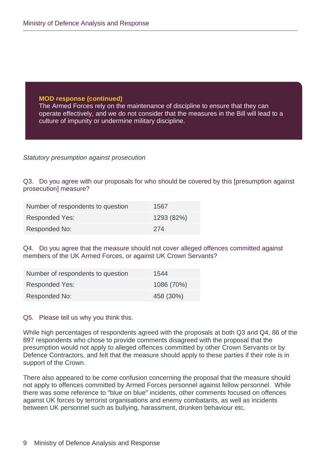The Armed Forces rely on the maintenance of discipline to ensure that they can operate effectively, and we do not consider that the measures in the Bill will lead to a culture of impunity or undermine military discipline.

*Statutory presumption against prosecution*

Q3. Do you agree with our proposals for who should be covered by this [presumption against prosecution] measure?

| Number of respondents to question | 1567       |
|-----------------------------------|------------|
| <b>Responded Yes:</b>             | 1293 (82%) |
| Responded No:                     | -274       |

Q4. Do you agree that the measure should not cover alleged offences committed against members of the UK Armed Forces, or against UK Crown Servants?

| Number of respondents to question | 1544       |
|-----------------------------------|------------|
| Responded Yes:                    | 1086 (70%) |
| Responded No:                     | 458 (30%)  |

#### Q5. Please tell us why you think this.

While high percentages of respondents agreed with the proposals at both Q3 and Q4, 86 of the 897 respondents who chose to provide comments disagreed with the proposal that the presumption would not apply to alleged offences committed by other Crown Servants or by Defence Contractors, and felt that the measure should apply to these parties if their role is in support of the Crown.

There also appeared to be come confusion concerning the proposal that the measure should not apply to offences committed by Armed Forces personnel against fellow personnel. While there was some reference to "blue on blue" incidents, other comments focused on offences against UK forces by terrorist organisations and enemy combatants, as well as incidents between UK personnel such as bullying, harassment, drunken behaviour etc.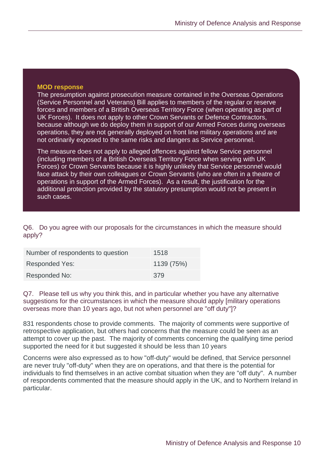The presumption against prosecution measure contained in the Overseas Operations (Service Personnel and Veterans) Bill applies to members of the regular or reserve forces and members of a British Overseas Territory Force (when operating as part of UK Forces). It does not apply to other Crown Servants or Defence Contractors, because although we do deploy them in support of our Armed Forces during overseas operations, they are not generally deployed on front line military operations and are not ordinarily exposed to the same risks and dangers as Service personnel.

The measure does not apply to alleged offences against fellow Service personnel (including members of a British Overseas Territory Force when serving with UK Forces) or Crown Servants because it is highly unlikely that Service personnel would face attack by their own colleagues or Crown Servants (who are often in a theatre of operations in support of the Armed Forces). As a result, the justification for the additional protection provided by the statutory presumption would not be present in such cases.

Q6. Do you agree with our proposals for the circumstances in which the measure should apply?

| Number of respondents to question | 1518       |
|-----------------------------------|------------|
| <b>Responded Yes:</b>             | 1139 (75%) |
| Responded No:                     | 379        |

Q7. Please tell us why you think this, and in particular whether you have any alternative suggestions for the circumstances in which the measure should apply [military operations overseas more than 10 years ago, but not when personnel are "off duty"]?

831 respondents chose to provide comments. The majority of comments were supportive of retrospective application, but others had concerns that the measure could be seen as an attempt to cover up the past. The majority of comments concerning the qualifying time period supported the need for it but suggested it should be less than 10 years

Concerns were also expressed as to how "off-duty" would be defined, that Service personnel are never truly "off-duty" when they are on operations, and that there is the potential for individuals to find themselves in an active combat situation when they are "off duty". A number of respondents commented that the measure should apply in the UK, and to Northern Ireland in particular.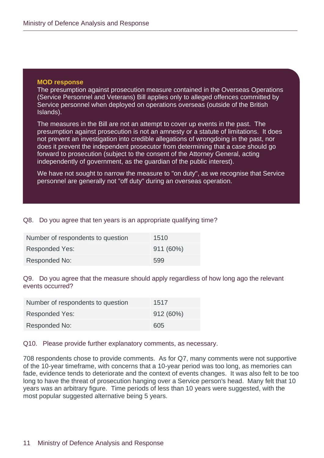The presumption against prosecution measure contained in the Overseas Operations (Service Personnel and Veterans) Bill applies only to alleged offences committed by Service personnel when deployed on operations overseas (outside of the British Islands).

The measures in the Bill are not an attempt to cover up events in the past. The presumption against prosecution is not an amnesty or a statute of limitations. It does not prevent an investigation into credible allegations of wrongdoing in the past, nor does it prevent the independent prosecutor from determining that a case should go forward to prosecution (subject to the consent of the Attorney General, acting independently of government, as the guardian of the public interest).

We have not sought to narrow the measure to "on duty", as we recognise that Service personnel are generally not "off duty" during an overseas operation.

#### Q8. Do you agree that ten years is an appropriate qualifying time?

| Number of respondents to question | 1510      |
|-----------------------------------|-----------|
| Responded Yes:                    | 911 (60%) |
| Responded No:                     | 599       |

Q9. Do you agree that the measure should apply regardless of how long ago the relevant events occurred?

| Number of respondents to question | 1517        |
|-----------------------------------|-------------|
| Responded Yes:                    | $912(60\%)$ |
| Responded No:                     | 605         |

#### Q10. Please provide further explanatory comments, as necessary.

708 respondents chose to provide comments. As for Q7, many comments were not supportive of the 10-year timeframe, with concerns that a 10-year period was too long, as memories can fade, evidence tends to deteriorate and the context of events changes. It was also felt to be too long to have the threat of prosecution hanging over a Service person's head. Many felt that 10 years was an arbitrary figure. Time periods of less than 10 years were suggested, with the most popular suggested alternative being 5 years.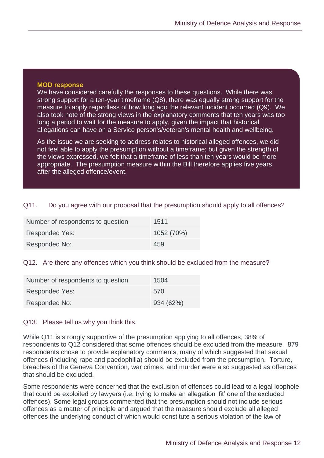We have considered carefully the responses to these questions. While there was strong support for a ten-year timeframe (Q8), there was equally strong support for the measure to apply regardless of how long ago the relevant incident occurred (Q9). We also took note of the strong views in the explanatory comments that ten years was too long a period to wait for the measure to apply, given the impact that historical allegations can have on a Service person's/veteran's mental health and wellbeing.

As the issue we are seeking to address relates to historical alleged offences, we did not feel able to apply the presumption without a timeframe; but given the strength of the views expressed, we felt that a timeframe of less than ten years would be more appropriate. The presumption measure within the Bill therefore applies five years after the alleged offence/event.

#### Q11. Do you agree with our proposal that the presumption should apply to all offences?

| Number of respondents to question | 1511       |
|-----------------------------------|------------|
| Responded Yes:                    | 1052 (70%) |
| Responded No:                     | 459        |

#### Q12. Are there any offences which you think should be excluded from the measure?

| Number of respondents to question | 1504      |
|-----------------------------------|-----------|
| Responded Yes:                    | 570       |
| Responded No:                     | 934 (62%) |

#### Q13. Please tell us why you think this.

While Q11 is strongly supportive of the presumption applying to all offences, 38% of respondents to Q12 considered that some offences should be excluded from the measure. 879 respondents chose to provide explanatory comments, many of which suggested that sexual offences (including rape and paedophilia) should be excluded from the presumption. Torture, breaches of the Geneva Convention, war crimes, and murder were also suggested as offences that should be excluded.

Some respondents were concerned that the exclusion of offences could lead to a legal loophole that could be exploited by lawyers (i.e. trying to make an allegation 'fit' one of the excluded offences). Some legal groups commented that the presumption should not include serious offences as a matter of principle and argued that the measure should exclude all alleged offences the underlying conduct of which would constitute a serious violation of the law of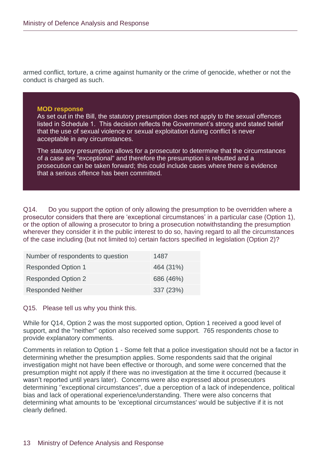armed conflict, torture, a crime against humanity or the crime of genocide, whether or not the conduct is charged as such.

#### **MOD response**

As set out in the Bill, the statutory presumption does not apply to the sexual offences listed in Schedule 1. This decision reflects the Government's strong and stated belief that the use of sexual violence or sexual exploitation during conflict is never acceptable in any circumstances.

The statutory presumption allows for a prosecutor to determine that the circumstances of a case are "exceptional" and therefore the presumption is rebutted and a prosecution can be taken forward; this could include cases where there is evidence that a serious offence has been committed.

Q14. Do you support the option of only allowing the presumption to be overridden where a prosecutor considers that there are 'exceptional circumstances' in a particular case (Option 1), or the option of allowing a prosecutor to bring a prosecution notwithstanding the presumption wherever they consider it in the public interest to do so, having regard to all the circumstances of the case including (but not limited to) certain factors specified in legislation (Option 2)?

| Number of respondents to question | 1487      |
|-----------------------------------|-----------|
| <b>Responded Option 1</b>         | 464 (31%) |
| <b>Responded Option 2</b>         | 686 (46%) |
| <b>Responded Neither</b>          | 337 (23%) |

Q15. Please tell us why you think this.

While for Q14, Option 2 was the most supported option, Option 1 received a good level of support, and the "neither" option also received some support. 765 respondents chose to provide explanatory comments.

Comments in relation to Option 1 - Some felt that a police investigation should not be a factor in determining whether the presumption applies. Some respondents said that the original investigation might not have been effective or thorough, and some were concerned that the presumption might not apply if there was no investigation at the time it occurred (because it wasn't reported until years later). Concerns were also expressed about prosecutors determining ''exceptional circumstances", due a perception of a lack of independence, political bias and lack of operational experience/understanding. There were also concerns that determining what amounts to be 'exceptional circumstances' would be subjective if it is not clearly defined.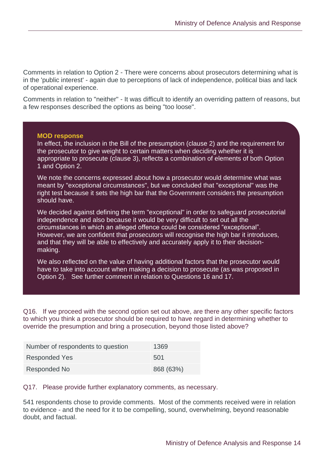Comments in relation to Option 2 - There were concerns about prosecutors determining what is in the 'public interest' - again due to perceptions of lack of independence, political bias and lack of operational experience.

Comments in relation to "neither" - It was difficult to identify an overriding pattern of reasons, but a few responses described the options as being "too loose".

#### **MOD response**

In effect, the inclusion in the Bill of the presumption (clause 2) and the requirement for the prosecutor to give weight to certain matters when deciding whether it is appropriate to prosecute (clause 3), reflects a combination of elements of both Option 1 and Option 2.

We note the concerns expressed about how a prosecutor would determine what was meant by "exceptional circumstances", but we concluded that "exceptional" was the right test because it sets the high bar that the Government considers the presumption should have.

We decided against defining the term "exceptional" in order to safeguard prosecutorial independence and also because it would be very difficult to set out all the circumstances in which an alleged offence could be considered "exceptional". However, we are confident that prosecutors will recognise the high bar it introduces, and that they will be able to effectively and accurately apply it to their decisionmaking.

We also reflected on the value of having additional factors that the prosecutor would have to take into account when making a decision to prosecute (as was proposed in Option 2). See further comment in relation to Questions 16 and 17.

Q16. If we proceed with the second option set out above, are there any other specific factors to which you think a prosecutor should be required to have regard in determining whether to override the presumption and bring a prosecution, beyond those listed above?

| Number of respondents to question | 1369      |
|-----------------------------------|-----------|
| <b>Responded Yes</b>              | 501       |
| Responded No                      | 868 (63%) |

#### Q17. Please provide further explanatory comments, as necessary.

541 respondents chose to provide comments. Most of the comments received were in relation to evidence - and the need for it to be compelling, sound, overwhelming, beyond reasonable doubt, and factual.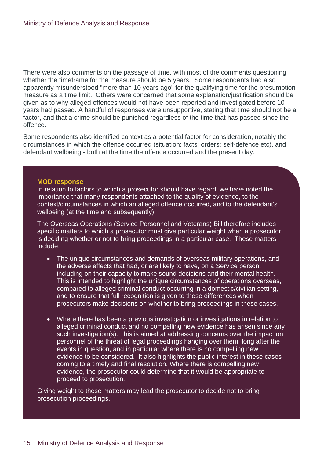There were also comments on the passage of time, with most of the comments questioning whether the timeframe for the measure should be 5 years. Some respondents had also apparently misunderstood "more than 10 years ago" for the qualifying time for the presumption measure as a time limit. Others were concerned that some explanation/justification should be given as to why alleged offences would not have been reported and investigated before 10 years had passed. A handful of responses were unsupportive, stating that time should not be a factor, and that a crime should be punished regardless of the time that has passed since the offence.

Some respondents also identified context as a potential factor for consideration, notably the circumstances in which the offence occurred (situation; facts; orders; self-defence etc), and defendant wellbeing - both at the time the offence occurred and the present day.

#### **MOD response**

In relation to factors to which a prosecutor should have regard, we have noted the importance that many respondents attached to the quality of evidence, to the context/circumstances in which an alleged offence occurred, and to the defendant's wellbeing (at the time and subsequently).

The Overseas Operations (Service Personnel and Veterans) Bill therefore includes specific matters to which a prosecutor must give particular weight when a prosecutor is deciding whether or not to bring proceedings in a particular case. These matters include:

- The unique circumstances and demands of overseas military operations, and the adverse effects that had, or are likely to have, on a Service person, including on their capacity to make sound decisions and their mental health. This is intended to highlight the unique circumstances of operations overseas, compared to alleged criminal conduct occurring in a domestic/civilian setting, and to ensure that full recognition is given to these differences when prosecutors make decisions on whether to bring proceedings in these cases.
- Where there has been a previous investigation or investigations in relation to alleged criminal conduct and no compelling new evidence has arisen since any such investigation(s). This is aimed at addressing concerns over the impact on personnel of the threat of legal proceedings hanging over them, long after the events in question, and in particular where there is no compelling new evidence to be considered. It also highlights the public interest in these cases coming to a timely and final resolution. Where there is compelling new evidence, the prosecutor could determine that it would be appropriate to proceed to prosecution.

Giving weight to these matters may lead the prosecutor to decide not to bring prosecution proceedings.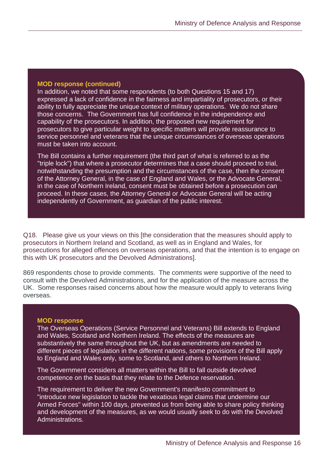In addition, we noted that some respondents (to both Questions 15 and 17) expressed a lack of confidence in the fairness and impartiality of prosecutors, or their ability to fully appreciate the unique context of military operations. We do not share those concerns. The Government has full confidence in the independence and capability of the prosecutors. In addition, the proposed new requirement for prosecutors to give particular weight to specific matters will provide reassurance to service personnel and veterans that the unique circumstances of overseas operations must be taken into account.

The Bill contains a further requirement (the third part of what is referred to as the "triple lock") that where a prosecutor determines that a case should proceed to trial, notwithstanding the presumption and the circumstances of the case, then the consent of the Attorney General, in the case of England and Wales, or the Advocate General, in the case of Northern Ireland, consent must be obtained before a prosecution can proceed. In these cases, the Attorney General or Advocate General will be acting independently of Government, as guardian of the public interest.

Q18. Please give us your views on this [the consideration that the measures should apply to prosecutors in Northern Ireland and Scotland, as well as in England and Wales, for prosecutions for alleged offences on overseas operations, and that the intention is to engage on this with UK prosecutors and the Devolved Administrations].

869 respondents chose to provide comments. The comments were supportive of the need to consult with the Devolved Administrations, and for the application of the measure across the UK. Some responses raised concerns about how the measure would apply to veterans living overseas.

#### **MOD response**

The Overseas Operations (Service Personnel and Veterans) Bill extends to England and Wales, Scotland and Northern Ireland. The effects of the measures are substantively the same throughout the UK, but as amendments are needed to different pieces of legislation in the different nations, some provisions of the Bill apply to England and Wales only, some to Scotland, and others to Northern Ireland.

The Government considers all matters within the Bill to fall outside devolved competence on the basis that they relate to the Defence reservation.

The requirement to deliver the new Government's manifesto commitment to "introduce new legislation to tackle the vexatious legal claims that undermine our Armed Forces" within 100 days, prevented us from being able to share policy thinking and development of the measures, as we would usually seek to do with the Devolved Administrations.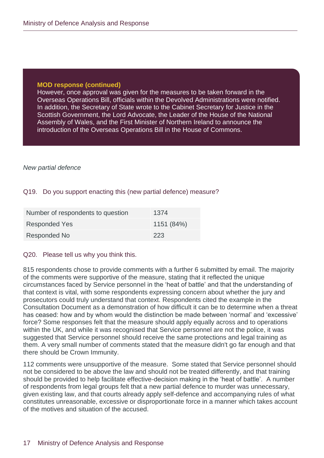However, once approval was given for the measures to be taken forward in the Overseas Operations Bill, officials within the Devolved Administrations were notified. In addition, the Secretary of State wrote to the Cabinet Secretary for Justice in the Scottish Government, the Lord Advocate, the Leader of the House of the National Assembly of Wales, and the First Minister of Northern Ireland to announce the introduction of the Overseas Operations Bill in the House of Commons.

#### *New partial defence*

#### Q19. Do you support enacting this (new partial defence) measure?

| Number of respondents to question | 1374       |
|-----------------------------------|------------|
| <b>Responded Yes</b>              | 1151 (84%) |
| Responded No                      | 223        |

#### Q20. Please tell us why you think this.

815 respondents chose to provide comments with a further 6 submitted by email. The majority of the comments were supportive of the measure, stating that it reflected the unique circumstances faced by Service personnel in the 'heat of battle' and that the understanding of that context is vital, with some respondents expressing concern about whether the jury and prosecutors could truly understand that context. Respondents cited the example in the Consultation Document as a demonstration of how difficult it can be to determine when a threat has ceased: how and by whom would the distinction be made between 'normal' and 'excessive' force? Some responses felt that the measure should apply equally across and to operations within the UK, and while it was recognised that Service personnel are not the police, it was suggested that Service personnel should receive the same protections and legal training as them. A very small number of comments stated that the measure didn't go far enough and that there should be Crown Immunity.

112 comments were unsupportive of the measure. Some stated that Service personnel should not be considered to be above the law and should not be treated differently, and that training should be provided to help facilitate effective-decision making in the 'heat of battle'. A number of respondents from legal groups felt that a new partial defence to murder was unnecessary, given existing law, and that courts already apply self-defence and accompanying rules of what constitutes unreasonable, excessive or disproportionate force in a manner which takes account of the motives and situation of the accused.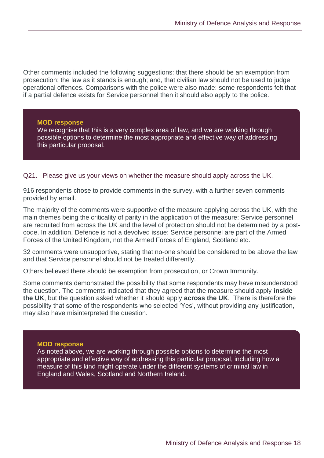Other comments included the following suggestions: that there should be an exemption from prosecution; the law as it stands is enough; and, that civilian law should not be used to judge operational offences. Comparisons with the police were also made: some respondents felt that if a partial defence exists for Service personnel then it should also apply to the police.

#### **MOD response**

We recognise that this is a very complex area of law, and we are working through possible options to determine the most appropriate and effective way of addressing this particular proposal.

Q21. Please give us your views on whether the measure should apply across the UK.

916 respondents chose to provide comments in the survey, with a further seven comments provided by email.

The majority of the comments were supportive of the measure applying across the UK, with the main themes being the criticality of parity in the application of the measure: Service personnel are recruited from across the UK and the level of protection should not be determined by a postcode. In addition, Defence is not a devolved issue: Service personnel are part of the Armed Forces of the United Kingdom, not the Armed Forces of England, Scotland etc.

32 comments were unsupportive, stating that no-one should be considered to be above the law and that Service personnel should not be treated differently.

Others believed there should be exemption from prosecution, or Crown Immunity.

Some comments demonstrated the possibility that some respondents may have misunderstood the question. The comments indicated that they agreed that the measure should apply **inside the UK**, but the question asked whether it should apply **across the UK**. There is therefore the possibility that some of the respondents who selected 'Yes', without providing any justification, may also have misinterpreted the question.

#### **MOD response**

As noted above, we are working through possible options to determine the most appropriate and effective way of addressing this particular proposal, including how a measure of this kind might operate under the different systems of criminal law in England and Wales, Scotland and Northern Ireland.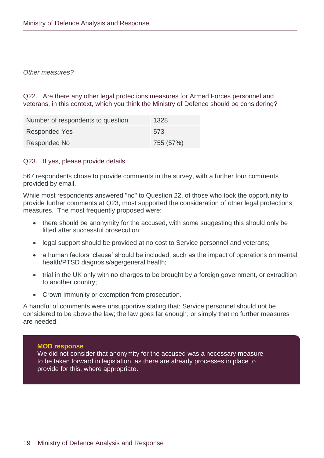#### *Other measures?*

Q22. Are there any other legal protections measures for Armed Forces personnel and veterans, in this context, which you think the Ministry of Defence should be considering?

| Number of respondents to question | 1328      |
|-----------------------------------|-----------|
| <b>Responded Yes</b>              | 573       |
| Responded No                      | 755 (57%) |

Q23. If yes, please provide details.

567 respondents chose to provide comments in the survey, with a further four comments provided by email.

While most respondents answered "no" to Question 22, of those who took the opportunity to provide further comments at Q23, most supported the consideration of other legal protections measures. The most frequently proposed were:

- there should be anonymity for the accused, with some suggesting this should only be lifted after successful prosecution;
- legal support should be provided at no cost to Service personnel and veterans;
- a human factors 'clause' should be included, such as the impact of operations on mental health/PTSD diagnosis/age/general health;
- trial in the UK only with no charges to be brought by a foreign government, or extradition to another country;
- Crown Immunity or exemption from prosecution.

A handful of comments were unsupportive stating that: Service personnel should not be considered to be above the law; the law goes far enough; or simply that no further measures are needed.

#### **MOD response**

We did not consider that anonymity for the accused was a necessary measure to be taken forward in legislation, as there are already processes in place to provide for this, where appropriate.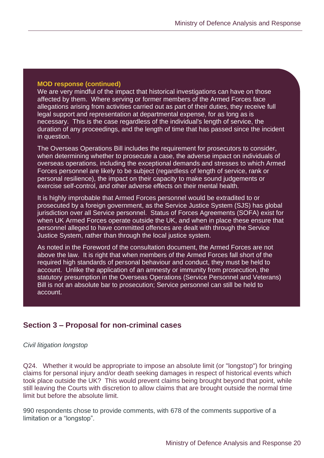We are very mindful of the impact that historical investigations can have on those affected by them. Where serving or former members of the Armed Forces face allegations arising from activities carried out as part of their duties, they receive full legal support and representation at departmental expense, for as long as is necessary. This is the case regardless of the individual's length of service, the duration of any proceedings, and the length of time that has passed since the incident in question.

The Overseas Operations Bill includes the requirement for prosecutors to consider, when determining whether to prosecute a case, the adverse impact on individuals of overseas operations, including the exceptional demands and stresses to which Armed Forces personnel are likely to be subject (regardless of length of service, rank or personal resilience), the impact on their capacity to make sound judgements or exercise self-control, and other adverse effects on their mental health.

It is highly improbable that Armed Forces personnel would be extradited to or prosecuted by a foreign government, as the Service Justice System (SJS) has global jurisdiction over all Service personnel. Status of Forces Agreements (SOFA) exist for when UK Armed Forces operate outside the UK, and when in place these ensure that personnel alleged to have committed offences are dealt with through the Service Justice System, rather than through the local justice system.

As noted in the Foreword of the consultation document, the Armed Forces are not above the law. It is right that when members of the Armed Forces fall short of the required high standards of personal behaviour and conduct, they must be held to account. Unlike the application of an amnesty or immunity from prosecution, the statutory presumption in the Overseas Operations (Service Personnel and Veterans) Bill is not an absolute bar to prosecution; Service personnel can still be held to account.

# <span id="page-20-0"></span>**Section 3 – Proposal for non-criminal cases**

*Civil litigation longstop*

Q24. Whether it would be appropriate to impose an absolute limit (or "longstop") for bringing claims for personal injury and/or death seeking damages in respect of historical events which took place outside the UK? This would prevent claims being brought beyond that point, while still leaving the Courts with discretion to allow claims that are brought outside the normal time limit but before the absolute limit.

990 respondents chose to provide comments, with 678 of the comments supportive of a limitation or a "longstop".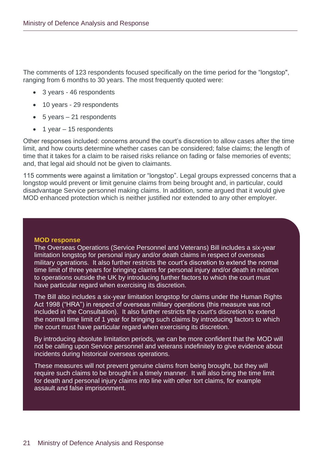The comments of 123 respondents focused specifically on the time period for the "longstop", ranging from 6 months to 30 years. The most frequently quoted were:

- 3 years 46 respondents
- 10 years 29 respondents
- 5 years 21 respondents
- 1 year 15 respondents

Other responses included: concerns around the court's discretion to allow cases after the time limit, and how courts determine whether cases can be considered; false claims; the length of time that it takes for a claim to be raised risks reliance on fading or false memories of events; and, that legal aid should not be given to claimants.

115 comments were against a limitation or "longstop". Legal groups expressed concerns that a longstop would prevent or limit genuine claims from being brought and, in particular, could disadvantage Service personnel making claims. In addition, some argued that it would give MOD enhanced protection which is neither justified nor extended to any other employer.

#### **MOD response**

The Overseas Operations (Service Personnel and Veterans) Bill includes a six-year limitation longstop for personal injury and/or death claims in respect of overseas military operations. It also further restricts the court's discretion to extend the normal time limit of three years for bringing claims for personal injury and/or death in relation to operations outside the UK by introducing further factors to which the court must have particular regard when exercising its discretion.

The Bill also includes a six-year limitation longstop for claims under the Human Rights Act 1998 ("HRA") in respect of overseas military operations (this measure was not included in the Consultation). It also further restricts the court's discretion to extend the normal time limit of 1 year for bringing such claims by introducing factors to which the court must have particular regard when exercising its discretion.

By introducing absolute limitation periods, we can be more confident that the MOD will not be calling upon Service personnel and veterans indefinitely to give evidence about incidents during historical overseas operations.

These measures will not prevent genuine claims from being brought, but they will require such claims to be brought in a timely manner. It will also bring the time limit for death and personal injury claims into line with other tort claims, for example assault and false imprisonment.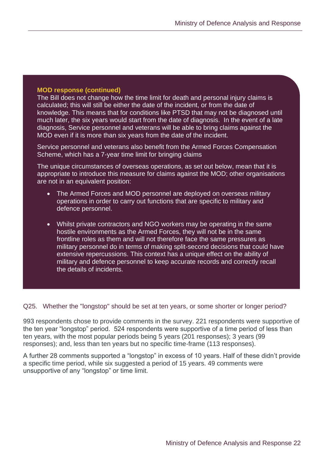The Bill does not change how the time limit for death and personal injury claims is calculated; this will still be either the date of the incident, or from the date of knowledge. This means that for conditions like PTSD that may not be diagnosed until much later, the six years would start from the date of diagnosis. In the event of a late diagnosis, Service personnel and veterans will be able to bring claims against the MOD even if it is more than six years from the date of the incident.

Service personnel and veterans also benefit from the Armed Forces Compensation Scheme, which has a 7-year time limit for bringing claims

The unique circumstances of overseas operations, as set out below, mean that it is appropriate to introduce this measure for claims against the MOD; other organisations are not in an equivalent position:

- The Armed Forces and MOD personnel are deployed on overseas military operations in order to carry out functions that are specific to military and defence personnel.
- Whilst private contractors and NGO workers may be operating in the same hostile environments as the Armed Forces, they will not be in the same frontline roles as them and will not therefore face the same pressures as military personnel do in terms of making split-second decisions that could have extensive repercussions. This context has a unique effect on the ability of military and defence personnel to keep accurate records and correctly recall the details of incidents.

Q25. Whether the "longstop" should be set at ten years, or some shorter or longer period?

993 respondents chose to provide comments in the survey. 221 respondents were supportive of the ten year "longstop" period. 524 respondents were supportive of a time period of less than ten years, with the most popular periods being 5 years (201 responses); 3 years (99 responses); and, less than ten years but no specific time-frame (113 responses).

A further 28 comments supported a "longstop" in excess of 10 years. Half of these didn't provide a specific time period, while six suggested a period of 15 years. 49 comments were unsupportive of any "longstop" or time limit.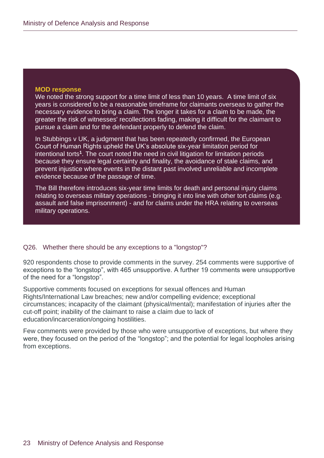We noted the strong support for a time limit of less than 10 years. A time limit of six years is considered to be a reasonable timeframe for claimants overseas to gather the necessary evidence to bring a claim. The longer it takes for a claim to be made, the greater the risk of witnesses' recollections fading, making it difficult for the claimant to pursue a claim and for the defendant properly to defend the claim.

In Stubbings v UK, a judgment that has been repeatedly confirmed, the European Court of Human Rights upheld the UK's absolute six-year limitation period for intentional torts**<sup>1</sup>** . The court noted the need in civil litigation for limitation periods because they ensure legal certainty and finality, the avoidance of stale claims, and prevent injustice where events in the distant past involved unreliable and incomplete evidence because of the passage of time.

The Bill therefore introduces six-year time limits for death and personal injury claims relating to overseas military operations - bringing it into line with other tort claims (e.g. assault and false imprisonment) - and for claims under the HRA relating to overseas military operations.

#### Q26. Whether there should be any exceptions to a "longstop"?

920 respondents chose to provide comments in the survey. 254 comments were supportive of exceptions to the "longstop", with 465 unsupportive. A further 19 comments were unsupportive of the need for a "longstop".

Supportive comments focused on exceptions for sexual offences and Human Rights/International Law breaches; new and/or compelling evidence; exceptional circumstances; incapacity of the claimant (physical/mental); manifestation of injuries after the cut-off point; inability of the claimant to raise a claim due to lack of education/incarceration/ongoing hostilities.

Few comments were provided by those who were unsupportive of exceptions, but where they were, they focused on the period of the "longstop"; and the potential for legal loopholes arising from exceptions.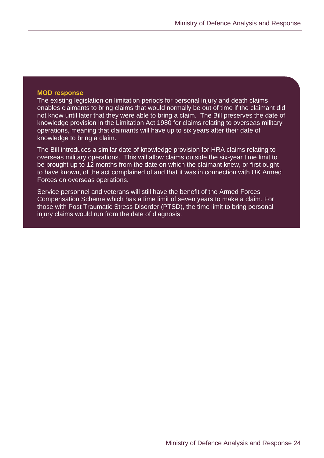The existing legislation on limitation periods for personal injury and death claims enables claimants to bring claims that would normally be out of time if the claimant did not know until later that they were able to bring a claim. The Bill preserves the date of knowledge provision in the Limitation Act 1980 for claims relating to overseas military operations, meaning that claimants will have up to six years after their date of knowledge to bring a claim.

The Bill introduces a similar date of knowledge provision for HRA claims relating to overseas military operations. This will allow claims outside the six-year time limit to be brought up to 12 months from the date on which the claimant knew, or first ought to have known, of the act complained of and that it was in connection with UK Armed Forces on overseas operations.

<span id="page-24-0"></span>Service personnel and veterans will still have the benefit of the Armed Forces Compensation Scheme which has a time limit of seven years to make a claim. For those with Post Traumatic Stress Disorder (PTSD), the time limit to bring personal injury claims would run from the date of diagnosis.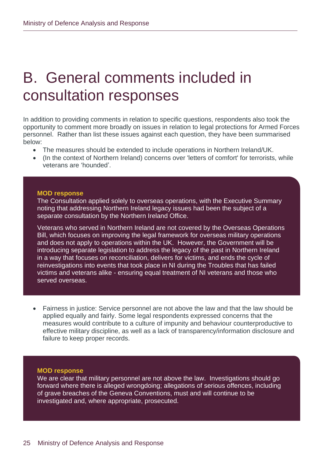# B. General comments included in consultation responses

In addition to providing comments in relation to specific questions, respondents also took the opportunity to comment more broadly on issues in relation to legal protections for Armed Forces personnel. Rather than list these issues against each question, they have been summarised below:

- The measures should be extended to include operations in Northern Ireland/UK.
- (In the context of Northern Ireland) concerns over 'letters of comfort' for terrorists, while veterans are 'hounded'.

#### **MOD response**

The Consultation applied solely to overseas operations, with the Executive Summary noting that addressing Northern Ireland legacy issues had been the subject of a separate consultation by the Northern Ireland Office.

Veterans who served in Northern Ireland are not covered by the Overseas Operations Bill, which focuses on improving the legal framework for overseas military operations and does not apply to operations within the UK. However, the Government will be introducing separate legislation to address the legacy of the past in Northern Ireland in a way that focuses on reconciliation, delivers for victims, and ends the cycle of reinvestigations into events that took place in NI during the Troubles that has failed victims and veterans alike - ensuring equal treatment of NI veterans and those who served overseas.

• Fairness in justice: Service personnel are not above the law and that the law should be applied equally and fairly. Some legal respondents expressed concerns that the measures would contribute to a culture of impunity and behaviour counterproductive to effective military discipline, as well as a lack of transparency/information disclosure and failure to keep proper records.

#### **MOD response**

We are clear that military personnel are not above the law. Investigations should go forward where there is alleged wrongdoing; allegations of serious offences, including of grave breaches of the Geneva Conventions, must and will continue to be investigated and, where appropriate, prosecuted.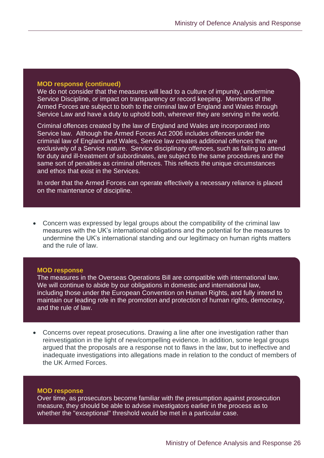We do not consider that the measures will lead to a culture of impunity, undermine Service Discipline, or impact on transparency or record keeping. Members of the Armed Forces are subject to both to the criminal law of England and Wales through Service Law and have a duty to uphold both, wherever they are serving in the world.

Criminal offences created by the law of England and Wales are incorporated into Service law. Although the Armed Forces Act 2006 includes offences under the criminal law of England and Wales, Service law creates additional offences that are exclusively of a Service nature. Service disciplinary offences, such as failing to attend for duty and ill-treatment of subordinates, are subject to the same procedures and the same sort of penalties as criminal offences. This reflects the unique circumstances and ethos that exist in the Services.

In order that the Armed Forces can operate effectively a necessary reliance is placed on the maintenance of discipline.

• Concern was expressed by legal groups about the compatibility of the criminal law measures with the UK's international obligations and the potential for the measures to undermine the UK's international standing and our legitimacy on human rights matters and the rule of law.

#### **MOD response**

The measures in the Overseas Operations Bill are compatible with international law. We will continue to abide by our obligations in domestic and international law, including those under the European Convention on Human Rights, and fully intend to maintain our leading role in the promotion and protection of human rights, democracy, and the rule of law.

• Concerns over repeat prosecutions. Drawing a line after one investigation rather than reinvestigation in the light of new/compelling evidence. In addition, some legal groups argued that the proposals are a response not to flaws in the law, but to ineffective and inadequate investigations into allegations made in relation to the conduct of members of the UK Armed Forces.

#### **MOD response**

Over time, as prosecutors become familiar with the presumption against prosecution measure, they should be able to advise investigators earlier in the process as to whether the "exceptional" threshold would be met in a particular case.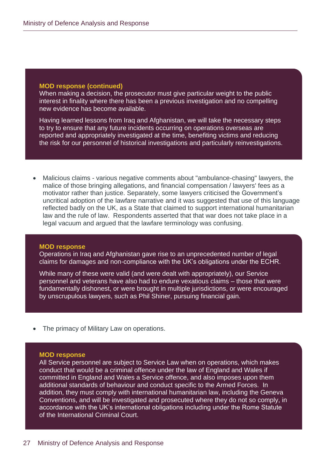When making a decision, the prosecutor must give particular weight to the public interest in finality where there has been a previous investigation and no compelling new evidence has become available.

Having learned lessons from Iraq and Afghanistan, we will take the necessary steps to try to ensure that any future incidents occurring on operations overseas are reported and appropriately investigated at the time, benefiting victims and reducing the risk for our personnel of historical investigations and particularly reinvestigations.

• Malicious claims - various negative comments about "ambulance-chasing" lawyers, the malice of those bringing allegations, and financial compensation / lawyers' fees as a motivator rather than justice. Separately, some lawyers criticised the Government's uncritical adoption of the lawfare narrative and it was suggested that use of this language reflected badly on the UK, as a State that claimed to support international humanitarian law and the rule of law. Respondents asserted that that war does not take place in a legal vacuum and argued that the lawfare terminology was confusing.

#### **MOD response**

Operations in Iraq and Afghanistan gave rise to an unprecedented number of legal claims for damages and non-compliance with the UK's obligations under the ECHR.

While many of these were valid (and were dealt with appropriately), our Service personnel and veterans have also had to endure vexatious claims – those that were fundamentally dishonest, or were brought in multiple jurisdictions, or were encouraged by unscrupulous lawyers, such as Phil Shiner, pursuing financial gain.

• The primacy of Military Law on operations. **hand, and fairness to those who defend this country on the other.**

#### **MOD response**

All Service personnel are subject to Service Law when on operations, which makes conduct that would be a criminal offence under the law of England and Wales if committed in England and Wales a Service offence, and also imposes upon them additional standards of behaviour and conduct specific to the Armed Forces. In addition, they must comply with international humanitarian law, including the Geneva Conventions, and will be investigated and prosecuted where they do not so comply, in accordance with the UK's international obligations including under the Rome Statute of the International Criminal Court.

**The measures in the Bill are a proportionate solution to the problem and strike**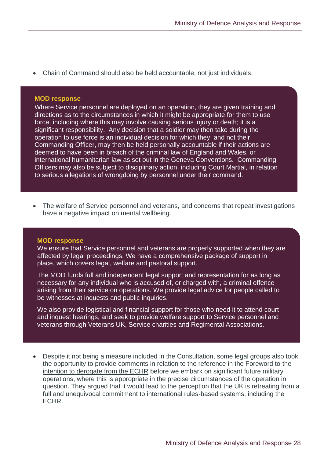• Chain of Command should also be held accountable, not just individuals.

#### **MOD response**

Where Service personnel are deployed on an operation, they are given training and directions as to the circumstances in which it might be appropriate for them to use force, including where this may involve causing serious injury or death; it is a significant responsibility. Any decision that a soldier may then take during the operation to use force is an individual decision for which they, and not their Commanding Officer, may then be held personally accountable if their actions are deemed to have been in breach of the criminal law of England and Wales, or international humanitarian law as set out in the Geneva Conventions. Commanding Officers may also be subject to disciplinary action, including Court Martial, in relation to serious allegations of wrongdoing by personnel under their command.

The welfare of Service personnel and veterans, and concerns that repeat investigations have a negative impact on mental wellbeing.

#### **MOD response**

We ensure that Service personnel and veterans are properly supported when they are affected by legal proceedings. We have a comprehensive package of support in place, which covers legal, welfare and pastoral support.

The MOD funds full and independent legal support and representation for as long as necessary for any individual who is accused of, or charged with, a criminal offence arising from their service on operations. We provide legal advice for people called to be witnesses at inquests and public inquiries.

We also provide logistical and financial support for those who need it to attend court and inquest hearings, and seek to provide welfare support to Service personnel and veterans through Veterans UK, Service charities and Regimental Associations.

• Despite it not being a measure included in the Consultation, some legal groups also took the opportunity to provide comments in relation to the reference in the Foreword to the intention to derogate from the ECHR before we embark on significant future military operations, where this is appropriate in the precise circumstances of the operation in question. They argued that it would lead to the perception that the UK is retreating from a full and unequivocal commitment to international rules-based systems, including the ECHR.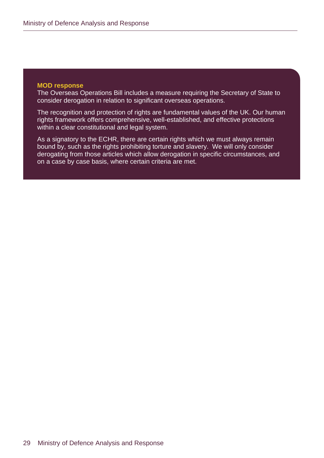The Overseas Operations Bill includes a measure requiring the Secretary of State to consider derogation in relation to significant overseas operations.

The recognition and protection of rights are fundamental values of the UK. Our human rights framework offers comprehensive, well-established, and effective protections within a clear constitutional and legal system.

As a signatory to the ECHR, there are certain rights which we must always remain bound by, such as the rights prohibiting torture and slavery. We will only consider derogating from those articles which allow derogation in specific circumstances, and on a case by case basis, where certain criteria are met.